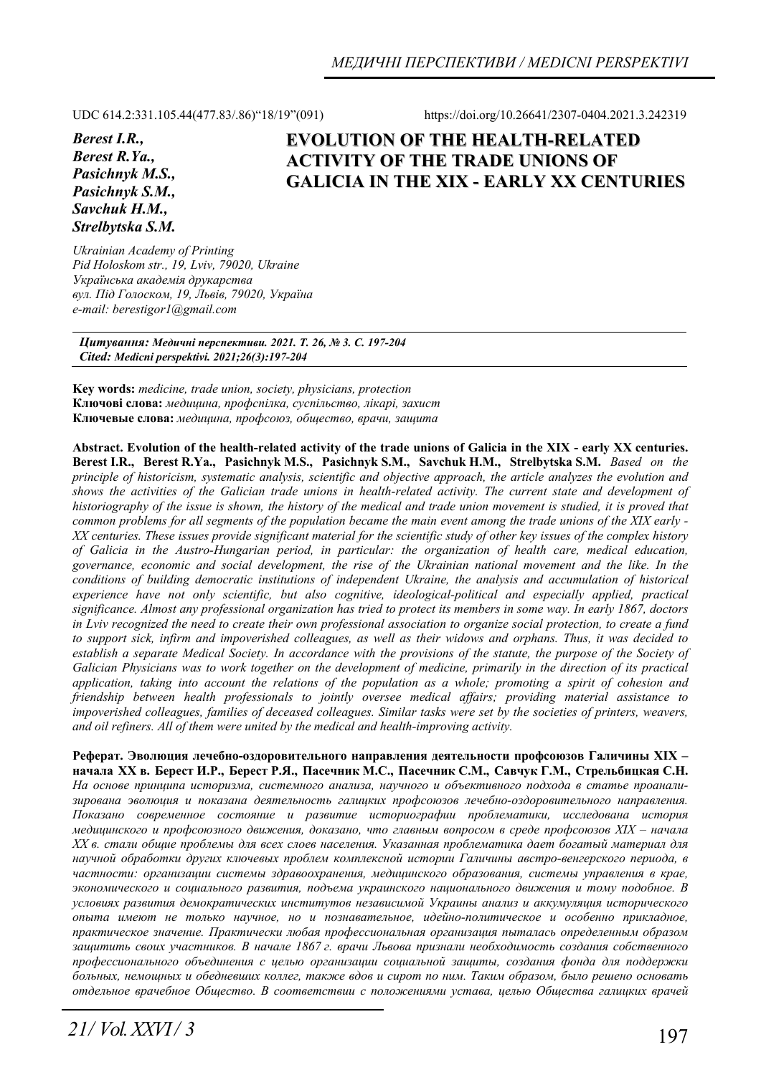UDC 614.2:331.105.44(477.83/.86)"18/19"(091) https://doi.org/10.26641/2307-0404.2021.3.242319

*Berest I.R., Berest R.Ya., Pasichnyk M.S., Pasichnyk S.M., Savchuk H.M., Strelbytska S.M.* 

# **EVOLUTION OF THE HEALTH-RELATED ACTIVITY OF THE TRADE UNIONS OF GALICIA IN THE XIX - EARLY XX CENTURIES**

*Ukrainian Academy of Printing Pid Holoskom str., 19, Lviv, 79020, Ukraine Українська академія друкарства вул. Під Голоском, 19, Львів, 79020, Україна e-mail: berestigor1@gmail.com* 

*Цитування: Медичні перспективи. 2021. Т. 26, № 3. С. 197-204 Cited: Medicni perspektivi. 2021;26(3):197-204*

**Key words:** *medicine, trade union, society, physicians, protection*  **Ключові слова:** *медицина, профспілка, суспільство, лікарі, захист* **Ключевые слова:** *медицина, профсоюз, общество, врачи, защита*

**Abstract. Evolution of the health-related activity of the trade unions of Galicia in the XIX - early XX centuries. Berest I.R., Berest R.Ya., Pasichnyk M.S., Pasichnyk S.M., Savchuk H.M., Strelbytska S.M.** *Based on the principle of historicism, systematic analysis, scientific and objective approach, the article analyzes the evolution and shows the activities of the Galician trade unions in health-related activity. The current state and development of historiography of the issue is shown, the history of the medical and trade union movement is studied, it is proved that common problems for all segments of the population became the main event among the trade unions of the XIX early - XX centuries. These issues provide significant material for the scientific study of other key issues of the complex history of Galicia in the Austro-Hungarian period, in particular: the organization of health care, medical education, governance, economic and social development, the rise of the Ukrainian national movement and the like. In the*  conditions of building democratic institutions of independent Ukraine, the analysis and accumulation of historical *experience have not only scientific, but also cognitive, ideological-political and especially applied, practical significance. Almost any professional organization has tried to protect its members in some way. In early 1867, doctors in Lviv recognized the need to create their own professional association to organize social protection, to create a fund to support sick, infirm and impoverished colleagues, as well as their widows and orphans. Thus, it was decided to establish a separate Medical Society. In accordance with the provisions of the statute, the purpose of the Society of Galician Physicians was to work together on the development of medicine, primarily in the direction of its practical application, taking into account the relations of the population as a whole; promoting a spirit of cohesion and friendship between health professionals to jointly oversee medical affairs; providing material assistance to impoverished colleagues, families of deceased colleagues. Similar tasks were set by the societies of printers, weavers, and oil refiners. All of them were united by the medical and health-improving activity.* 

**Реферат. Эволюция лечебно-оздоровительного направления деятельности профсоюзов Галичины XIX –**  начала XX в. Берест И.Р., Берест Р.Я., Пасечник М.С., Пасечник С.М., Савчук Г.М., Стрельбицкая С.Н. *На основе принципа историзма, системного анализа, научного и объективного подхода в статье проанализирована эволюция и показана деятельность галицких профсоюзов лечебно-оздоровительного направления. Показано современное состояние и развитие историографии проблематики, исследована история медицинского и профсоюзного движения, доказано, что главным вопросом в среде профсоюзов XIX – начала ХХ в. стали общие проблемы для всех слоев населения. Указанная проблематика дает богатый материал для научной обработки других ключевых проблем комплексной истории Галичины австро-венгерского периода, в частности: организации системы здравоохранения, медицинского образования, системы управления в крае, экономического и социального развития, подъема украинского национального движения и тому подобное. В условиях развития демократических институтов независимой Украины анализ и аккумуляция исторического опыта имеют не только научное, но и познавательное, идейно-политическое и особенно прикладное, практическое значение. Практически любая профессиональная организация пыталась определенным образом защитить своих участников. В начале 1867 г. врачи Львова признали необходимость создания собственного профессионального объединения с целью организации социальной защиты, создания фонда для поддержки* больных, немощных и обедневших коллег, также вдов и сирот по ним. Таким образом, было решено основать *отдельное врачебное Общество. В соответствии с положениями устава, целью Общества галицких врачей*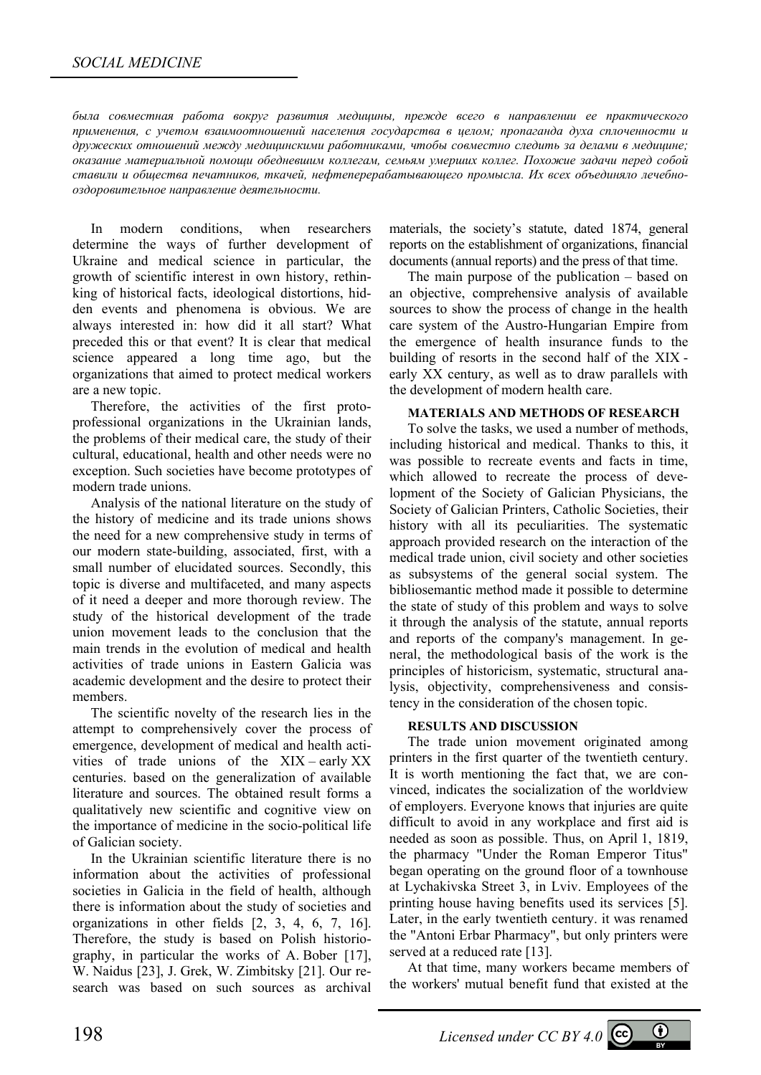*была совместная работа вокруг развития медицины, прежде всего в направлении ее практического применения, с учетом взаимоотношений населения государства в целом; пропаганда духа сплоченности и дружеских отношений между медицинскими работниками, чтобы совместно следить за делами в медицине; оказание материальной помощи обедневшим коллегам, семьям умерших коллег. Похожие задачи перед собой ставили и общества печатников, ткачей, нефтеперерабатывающего промысла. Их всех объединяло лечебнооздоровительное направление деятельности.* 

In modern conditions, when researchers determine the ways of further development of Ukraine and medical science in particular, the growth of scientific interest in own history, rethinking of historical facts, ideological distortions, hidden events and phenomena is obvious. We are always interested in: how did it all start? What preceded this or that event? It is clear that medical science appeared a long time ago, but the organizations that aimed to protect medical workers are a new topic.

Therefore, the activities of the first protoprofessional organizations in the Ukrainian lands, the problems of their medical care, the study of their cultural, educational, health and other needs were no exception. Such societies have become prototypes of modern trade unions.

Analysis of the national literature on the study of the history of medicine and its trade unions shows the need for a new comprehensive study in terms of our modern state-building, associated, first, with a small number of elucidated sources. Secondly, this topic is diverse and multifaceted, and many aspects of it need a deeper and more thorough review. The study of the historical development of the trade union movement leads to the conclusion that the main trends in the evolution of medical and health activities of trade unions in Eastern Galicia was academic development and the desire to protect their members.

The scientific novelty of the research lies in the attempt to comprehensively cover the process of emergence, development of medical and health activities of trade unions of the XIX – early XX centuries. based on the generalization of available literature and sources. The obtained result forms a qualitatively new scientific and cognitive view on the importance of medicine in the socio-political life of Galician society.

In the Ukrainian scientific literature there is no information about the activities of professional societies in Galicia in the field of health, although there is information about the study of societies and organizations in other fields [2, 3, 4, 6, 7, 16]. Therefore, the study is based on Polish historiography, in particular the works of A. Bober [17], W. Naidus [23], J. Grek, W. Zimbitsky [21]. Our research was based on such sources as archival

materials, the society's statute, dated 1874, general reports on the establishment of organizations, financial documents (annual reports) and the press of that time.

The main purpose of the publication – based on an objective, comprehensive analysis of available sources to show the process of change in the health care system of the Austro-Hungarian Empire from the emergence of health insurance funds to the building of resorts in the second half of the XIX early XX century, as well as to draw parallels with the development of modern health care.

#### **MATERIALS AND METHODS OF RESEARCH**

To solve the tasks, we used a number of methods, including historical and medical. Thanks to this, it was possible to recreate events and facts in time, which allowed to recreate the process of development of the Society of Galician Physicians, the Society of Galician Printers, Catholic Societies, their history with all its peculiarities. The systematic approach provided research on the interaction of the medical trade union, civil society and other societies as subsystems of the general social system. The bibliosemantic method made it possible to determine the state of study of this problem and ways to solve it through the analysis of the statute, annual reports and reports of the company's management. In general, the methodological basis of the work is the principles of historicism, systematic, structural analysis, objectivity, comprehensiveness and consistency in the consideration of the chosen topic.

## **RESULTS AND DISCUSSION**

The trade union movement originated among printers in the first quarter of the twentieth century. It is worth mentioning the fact that, we are convinced, indicates the socialization of the worldview of employers. Everyone knows that injuries are quite difficult to avoid in any workplace and first aid is needed as soon as possible. Thus, on April 1, 1819, the pharmacy "Under the Roman Emperor Titus" began operating on the ground floor of a townhouse at Lychakivska Street 3, in Lviv. Employees of the printing house having benefits used its services [5]. Later, in the early twentieth century. it was renamed the "Antoni Erbar Pharmacy", but only printers were served at a reduced rate [13].

At that time, many workers became members of the workers' mutual benefit fund that existed at the

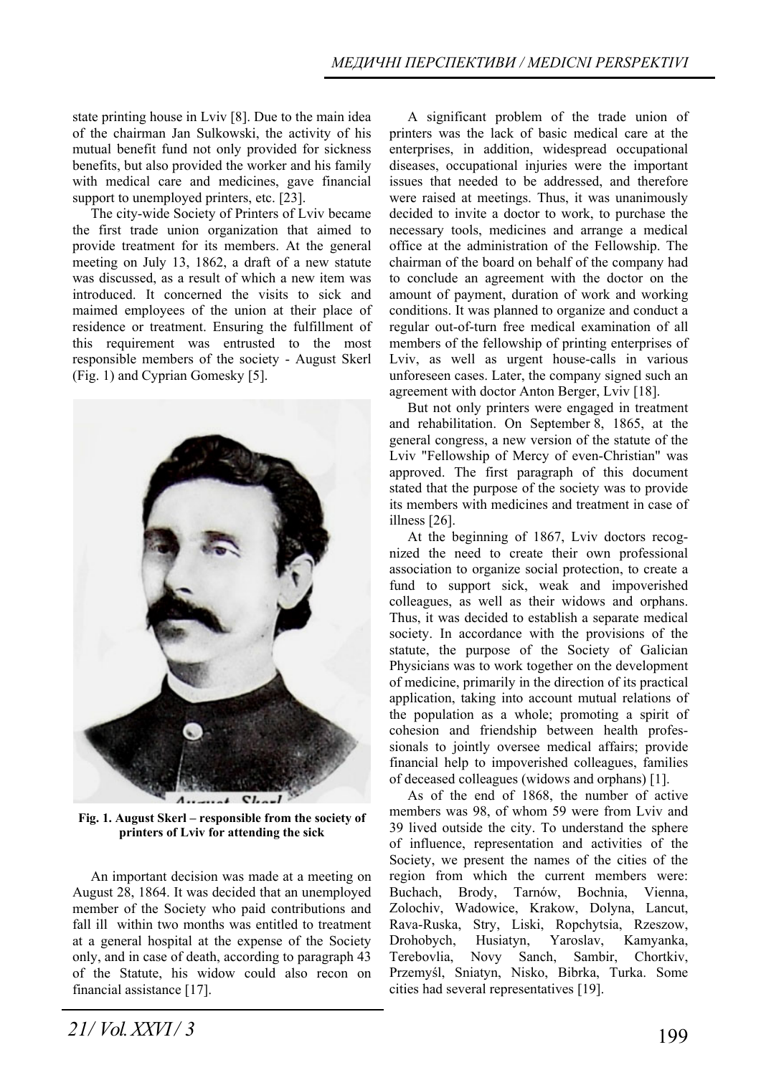state printing house in Lviv [8]. Due to the main idea of the chairman Jan Sulkowski, the activity of his mutual benefit fund not only provided for sickness benefits, but also provided the worker and his family with medical care and medicines, gave financial support to unemployed printers, etc. [23].

The city-wide Society of Printers of Lviv became the first trade union organization that aimed to provide treatment for its members. At the general meeting on July 13, 1862, a draft of a new statute was discussed, as a result of which a new item was introduced. It concerned the visits to sick and maimed employees of the union at their place of residence or treatment. Ensuring the fulfillment of this requirement was entrusted to the most responsible members of the society - August Skerl (Fig. 1) and Cyprian Gomesky [5].



**Fig. 1. August Skerl – responsible from the society of printers of Lviv for attending the sick** 

An important decision was made at a meeting on August 28, 1864. It was decided that an unemployed member of the Society who paid contributions and fall ill within two months was entitled to treatment at a general hospital at the expense of the Society only, and in case of death, according to paragraph 43 of the Statute, his widow could also recon on financial assistance [17].

A significant problem of the trade union of printers was the lack of basic medical care at the enterprises, in addition, widespread occupational diseases, occupational injuries were the important issues that needed to be addressed, and therefore were raised at meetings. Thus, it was unanimously decided to invite a doctor to work, to purchase the necessary tools, medicines and arrange a medical office at the administration of the Fellowship. The chairman of the board on behalf of the company had to conclude an agreement with the doctor on the amount of payment, duration of work and working conditions. It was planned to organize and conduct a regular out-of-turn free medical examination of all members of the fellowship of printing enterprises of Lviv, as well as urgent house-calls in various unforeseen cases. Later, the company signed such an agreement with doctor Anton Berger, Lviv [18].

But not only printers were engaged in treatment and rehabilitation. On September 8, 1865, at the general congress, a new version of the statute of the Lviv "Fellowship of Mercy of even-Christian" was approved. The first paragraph of this document stated that the purpose of the society was to provide its members with medicines and treatment in case of illness [26].

At the beginning of 1867, Lviv doctors recognized the need to create their own professional association to organize social protection, to create a fund to support sick, weak and impoverished colleagues, as well as their widows and orphans. Thus, it was decided to establish a separate medical society. In accordance with the provisions of the statute, the purpose of the Society of Galician Physicians was to work together on the development of medicine, primarily in the direction of its practical application, taking into account mutual relations of the population as a whole; promoting a spirit of cohesion and friendship between health professionals to jointly oversee medical affairs; provide financial help to impoverished colleagues, families of deceased colleagues (widows and orphans) [1].

As of the end of 1868, the number of active members was 98, of whom 59 were from Lviv and 39 lived outside the city. To understand the sphere of influence, representation and activities of the Society, we present the names of the cities of the region from which the current members were: Buchach, Brody, Tarnów, Bochnia, Vienna, Zolochiv, Wadowice, Krakow, Dolyna, Lancut, Rava-Ruska, Stry, Liski, Ropchytsia, Rzeszow, Drohobych, Husiatyn, Yaroslav, Kamyanka, Terebovlia, Novy Sanch, Sambir, Chortkiv, Przemyśl, Sniatyn, Nisko, Bibrka, Turka. Some cities had several representatives [19].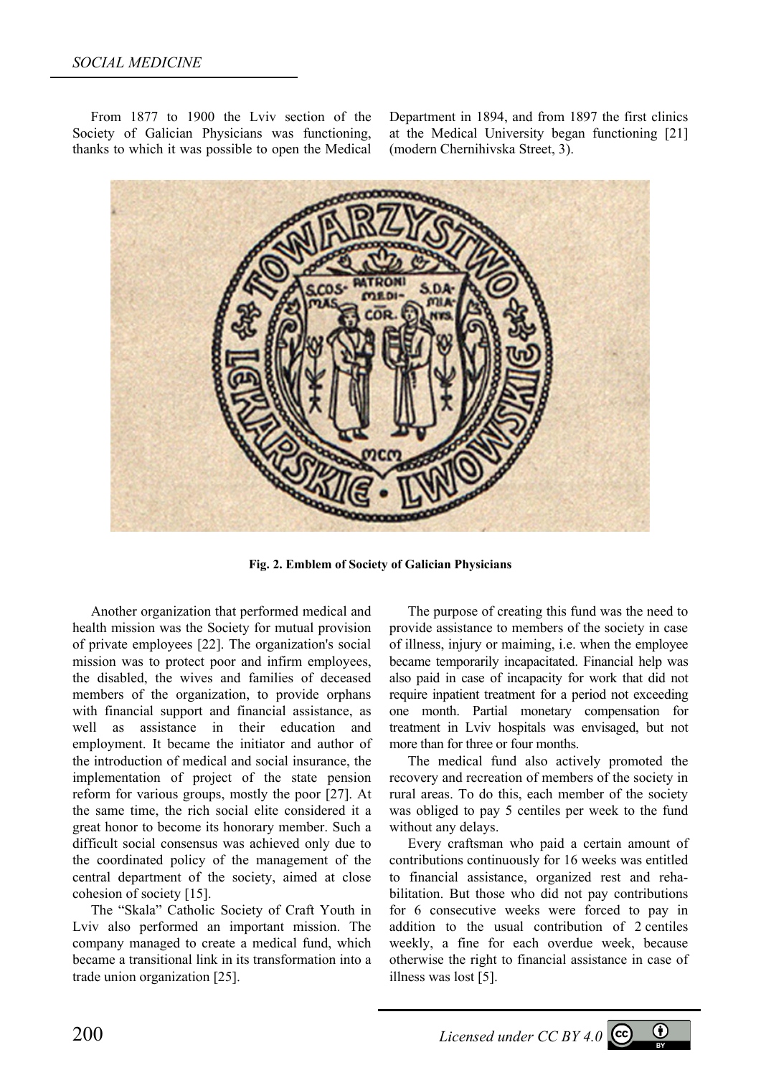From 1877 to 1900 the Lviv section of the Society of Galician Physicians was functioning, thanks to which it was possible to open the Medical Department in 1894, and from 1897 the first clinics at the Medical University began functioning [21] (modern Chernihivska Street, 3).



**Fig. 2. Emblem of Society of Galician Physicians** 

Another organization that performed medical and health mission was the Society for mutual provision of private employees [22]. The organization's social mission was to protect poor and infirm employees, the disabled, the wives and families of deceased members of the organization, to provide orphans with financial support and financial assistance, as well as assistance in their education and employment. It became the initiator and author of the introduction of medical and social insurance, the implementation of project of the state pension reform for various groups, mostly the poor [27]. At the same time, the rich social elite considered it a great honor to become its honorary member. Such a difficult social consensus was achieved only due to the coordinated policy of the management of the central department of the society, aimed at close cohesion of society [15].

The "Skala" Catholic Society of Craft Youth in Lviv also performed an important mission. The company managed to create a medical fund, which became a transitional link in its transformation into a trade union organization [25].

The purpose of creating this fund was the need to provide assistance to members of the society in case of illness, injury or maiming, i.e. when the employee became temporarily incapacitated. Financial help was also paid in case of incapacity for work that did not require inpatient treatment for a period not exceeding one month. Partial monetary compensation for treatment in Lviv hospitals was envisaged, but not more than for three or four months.

The medical fund also actively promoted the recovery and recreation of members of the society in rural areas. To do this, each member of the society was obliged to pay 5 centiles per week to the fund without any delays.

Every craftsman who paid a certain amount of contributions continuously for 16 weeks was entitled to financial assistance, organized rest and rehabilitation. But those who did not pay contributions for 6 consecutive weeks were forced to pay in addition to the usual contribution of 2 centiles weekly, a fine for each overdue week, because otherwise the right to financial assistance in case of illness was lost [5].

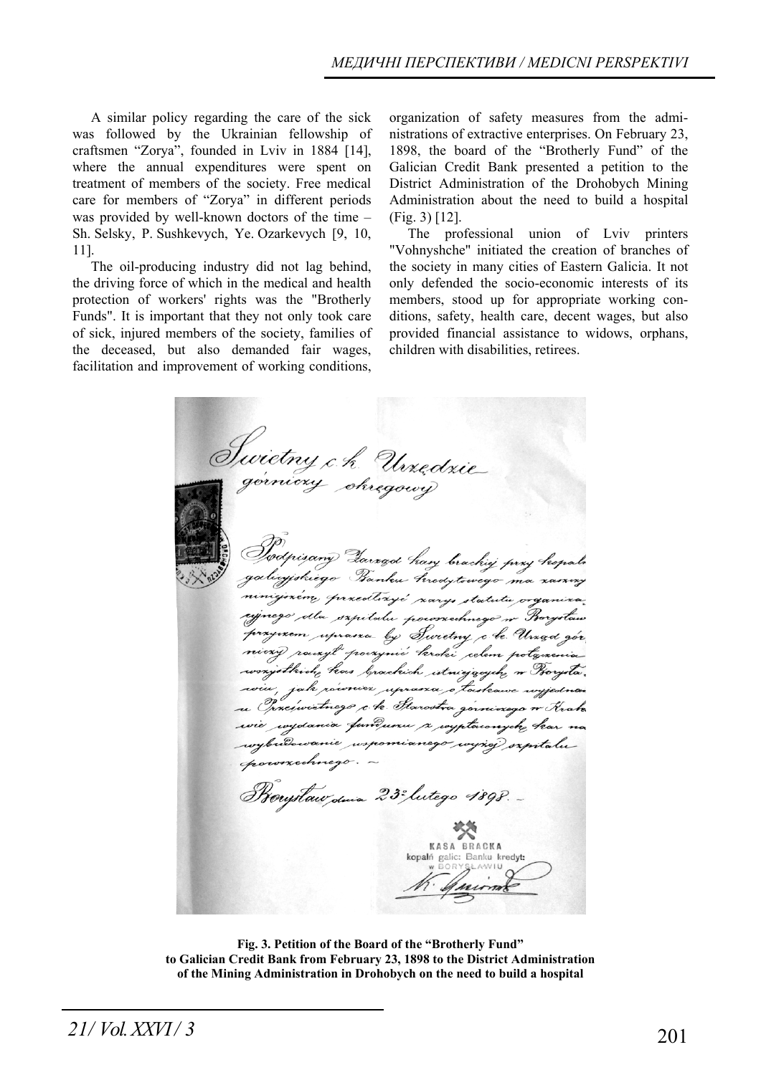A similar policy regarding the care of the sick was followed by the Ukrainian fellowship of craftsmen "Zorya", founded in Lviv in 1884 [14], where the annual expenditures were spent on treatment of members of the society. Free medical care for members of "Zorya" in different periods was provided by well-known doctors of the time – Sh. Selsky, P. Sushkevych, Ye. Ozarkevych [9, 10, 11].

The oil-producing industry did not lag behind, the driving force of which in the medical and health protection of workers' rights was the "Brotherly Funds". It is important that they not only took care of sick, injured members of the society, families of the deceased, but also demanded fair wages, facilitation and improvement of working conditions,

organization of safety measures from the administrations of extractive enterprises. On February 23, 1898, the board of the "Brotherly Fund" of the Galician Credit Bank presented a petition to the District Administration of the Drohobych Mining Administration about the need to build a hospital (Fig. 3) [12].

The professional union of Lviv printers "Vohnyshche" initiated the creation of branches of the society in many cities of Eastern Galicia. It not only defended the socio-economic interests of its members, stood up for appropriate working conditions, safety, health care, decent wages, but also provided financial assistance to widows, orphans, children with disabilities, retirees.

Swietny c.h. Urzędzie<br>Z<sup>górniczy</sup> okręgowy niejszém, grzectlozyć zarys statutu organiza signego dla sapitalu porossehnego n Borystaw przyrzem uprasza by Swietny che Urząd gór niczy rowyt poczynie kroki celem połączenia wonjstkich , kas brachich streiggsych , w Horysta. wiu, jak również uprana o toskowe wyjedna u Orxeswictnezo che Starostra gorninogo n Krak wie wydania fundumu a wypławnych kar na wybudowanie wspomianego wyżej szpitaluroxechnego. -Rougstaw dina 23° lutego 1898. KASA BRACKA kopalń galic: Banku kredyt:

**Fig. 3. Petition of the Board of the "Brotherly Fund" to Galician Credit Bank from February 23, 1898 to the District Administration of the Mining Administration in Drohobych on the need to build a hospital**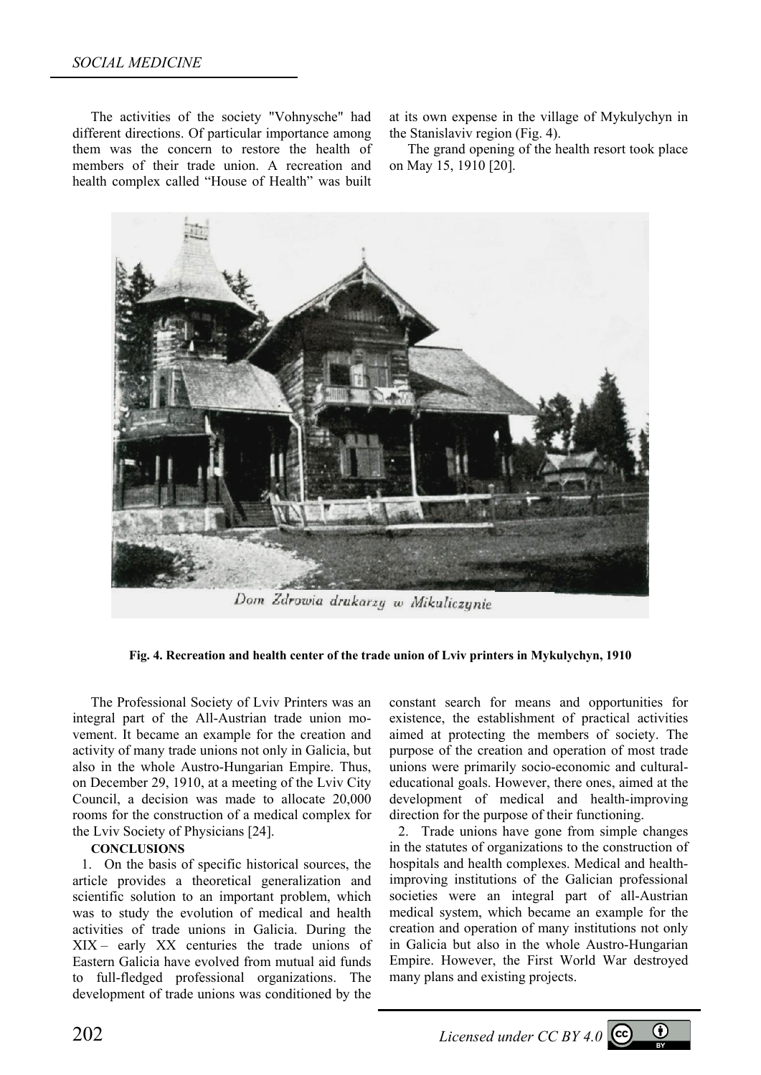The activities of the society "Vohnysche" had different directions. Of particular importance among them was the concern to restore the health of members of their trade union. A recreation and health complex called "House of Health" was built

at its own expense in the village of Mykulychyn in the Stanislaviv region (Fig. 4).

The grand opening of the health resort took place on May 15, 1910 [20].



Dom Zdrowia drukarzy w Mikuliczynie

**Fig. 4. Recreation and health center of the trade union of Lviv printers in Mykulychyn, 1910** 

The Professional Society of Lviv Printers was an integral part of the All-Austrian trade union movement. It became an example for the creation and activity of many trade unions not only in Galicia, but also in the whole Austro-Hungarian Empire. Thus, on December 29, 1910, at a meeting of the Lviv City Council, a decision was made to allocate 20,000 rooms for the construction of a medical complex for the Lviv Society of Physicians [24].

## **CONCLUSIONS**

1. On the basis of specific historical sources, the article provides a theoretical generalization and scientific solution to an important problem, which was to study the evolution of medical and health activities of trade unions in Galicia. During the XIX – early XX centuries the trade unions of Eastern Galicia have evolved from mutual aid funds to full-fledged professional organizations. The development of trade unions was conditioned by the

constant search for means and opportunities for existence, the establishment of practical activities aimed at protecting the members of society. The purpose of the creation and operation of most trade unions were primarily socio-economic and culturaleducational goals. However, there ones, aimed at the development of medical and health-improving direction for the purpose of their functioning.

2. Trade unions have gone from simple changes in the statutes of organizations to the construction of hospitals and health complexes. Medical and healthimproving institutions of the Galician professional societies were an integral part of all-Austrian medical system, which became an example for the creation and operation of many institutions not only in Galicia but also in the whole Austro-Hungarian Empire. However, the First World War destroyed many plans and existing projects.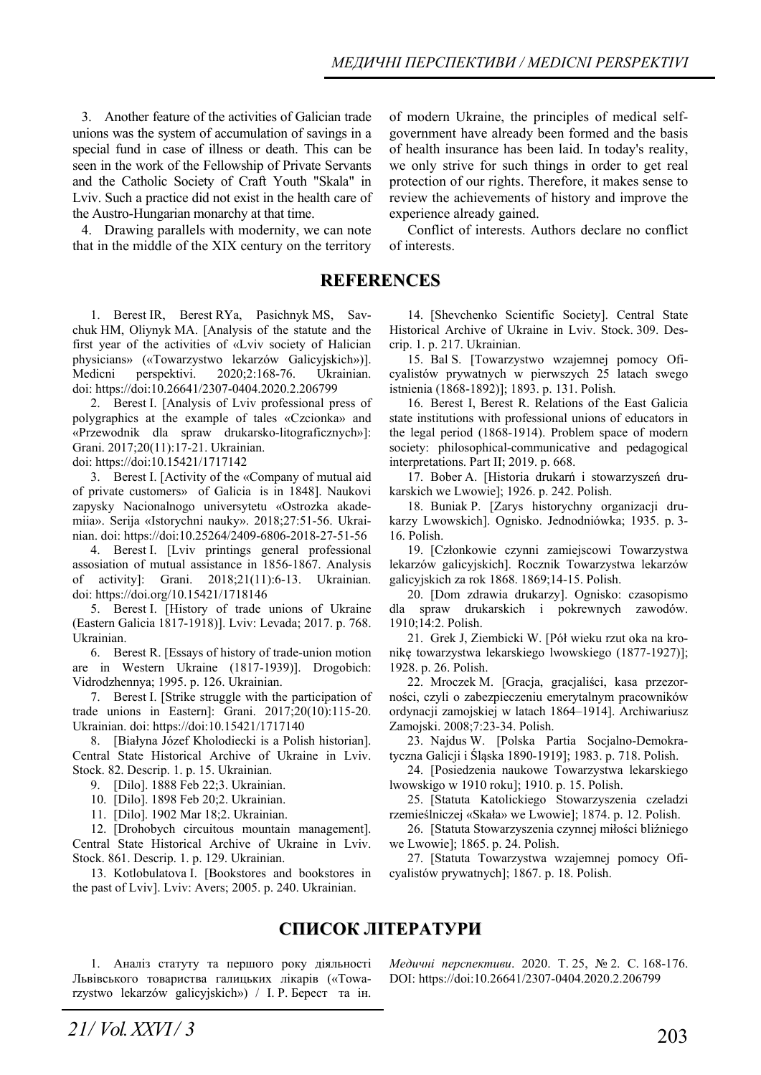3. Another feature of the activities of Galician trade unions was the system of accumulation of savings in a special fund in case of illness or death. This can be seen in the work of the Fellowship of Private Servants and the Catholic Society of Craft Youth "Skala" in Lviv. Such a practice did not exist in the health care of the Austro-Hungarian monarchy at that time.

4. Drawing parallels with modernity, we can note that in the middle of the XIX century on the territory

**REFERENCES**

1. Berest IR, Berest RYa, Pasichnyk MS, Savchuk HM, Oliynyk MA. [Analysis of the statute and the first year of the activities of «Lviv society of Halician physicians» («Towаrzystwo lekarzów Galicyjskich»)]. Medicnі perspektivi. 2020;2:168-76. Ukrainian. doi: https://doi:10.26641/2307-0404.2020.2.206799

2. Berest I. [Analysis of Lviv professional press of polygraphics at the example of tales «Czcionka» and «Przewodnik dla spraw drukarsko-litograficznych»]: Grani. 2017;20(11):17-21. Ukrainian.

doi: https://doi:10.15421/1717142

3. Berest I. [Activity of the «Company of mutual aid of private customers» of Galicia is in 1848]. Naukovi zapysky Nacionalnogo universytetu «Ostrozka akademiia». Serija «Istorychni nauky». 2018;27:51-56. Ukrainian. doi: https://doi:10.25264/2409-6806-2018-27-51-56

4. Berest I. [Lviv printings general professional assosiation of mutual assistance in 1856-1867. Analysis of activity]: Grani. 2018;21(11):6-13. Ukrainian. doi: https://doi.org/10.15421/1718146

5. Berest I. [History of trade unions of Ukraine (Eastern Galicia 1817-1918)]. Lviv: Levada; 2017. p. 768. Ukrainian.

6. Berest R. [Essays of history of trade-union motion are in Western Ukraine (1817-1939)]. Drogobich: Vіdrodzhennya; 1995. p. 126. Ukrainian.

7. Berest I. [Strike struggle with the participation of trade unions in Eastern]: Grani. 2017;20(10):115-20. Ukrainian. doi: https://doi:10.15421/1717140

8. [Białyna Józef Kholodiecki is a Polish historian]. Central State Historical Archive of Ukraine in Lviv. Stock. 82. Descrip. 1. p. 15. Ukrainian.

9. [Dilo]. 1888 Feb 22;3. Ukrainian.

10. [Dilo]. 1898 Feb 20;2. Ukrainian.

11. [Dilo]. 1902 Mar 18;2. Ukrainian.

12. [Drohobych circuitous mountain management]. Central State Historical Archive of Ukraine in Lviv. Stock. 861. Descrip. 1. p. 129. Ukrainian.

13. Kotlobulatova I. [Bookstores and bookstores in the past of Lviv]. Lviv: Avers; 2005. p. 240. Ukrainian.

of modern Ukraine, the principles of medical selfgovernment have already been formed and the basis of health insurance has been laid. In today's reality, we only strive for such things in order to get real protection of our rights. Therefore, it makes sense to review the achievements of history and improve the experience already gained.

Conflict of interests. Authors declare no conflict of interests.

14. [Shevchenko Scientific Society]. Central State Historical Archive of Ukraine in Lviv. Stock. 309. Descrip. 1. p. 217. Ukrainian.

15. Bal S. [Towarzystwo wzajemnej pomocy Oficyalistów prywatnych w pierwszych 25 latach swego istnienia (1868-1892)]; 1893. p. 131. Polish.

16. Berest I, Berest R. Relations of the East Galicia state institutions with professional unions of educators in the legal period (1868-1914). Problem space of modern society: philosophical-communicative and pedagogical interpretations. Part II; 2019. p. 668.

17. Bober A. [Historia drukarń i stowarzyszeń drukarskich we Lwowie]; 1926. p. 242. Polish.

18. Buniak P. [Zarys historychny organizacji drukarzy Lwowskich]. Ognisko. Jednodniówka; 1935. p. 3- 16. Polish.

19. [Członkowie czynni zamiejscowi Towarzystwa lekarzów galicyjskich]. Rocznik Towarzystwa lekarzów galicyjskich za rok 1868. 1869;14-15. Polish.

20. [Dom zdrawia drukarzy]. Ognisko: czasopismo dla spraw drukarskich i pokrewnych zawodów. 1910;14:2. Polish.

21. Grek J, Ziembicki W. [Pół wieku rzut oka na kronikę towarzystwa lekarskiego lwowskiego (1877-1927)]; 1928. p. 26. Polish.

22. Mroczek M. [Gracja, gracjaliści, kasa przezorności, czyli o zabezpieczeniu emerytalnym pracowników ordynacji zamojskiej w latach 1864–1914]. Archiwariusz Zamojski. 2008;7:23-34. Polish.

23. Najdus W. [Polska Partia Socjalno-Demokratyczna Galicji i Śląska 1890-1919]; 1983. p. 718. Polish.

24. [Posiedzenia naukowe Towarzystwa lekarskiego lwowskigo w 1910 roku]; 1910. p. 15. Polish.

25. [Statuta Katolickiego Stowarzyszenia czeladzi rzemieślniczej «Skała» we Lwowie]; 1874. p. 12. Polish.

26. [Statuta Stowarzyszenia czynnej miłości bliźniego we Lwowie]; 1865. p. 24. Polish.

27. [Statuta Towarzystwa wzajemnej pomocy Oficyalistów prywatnych]; 1867. p. 18. Polish.

## **СПИСОК ЛІТЕРАТУРИ**

1. Аналіз статуту та першого року діяльності Львівського товариства галицьких лікарів («Тowаrzystwo lekarzów galicyjskich») / І. Р. Берест та ін. *Медичні перспективи*. 2020. Т. 25, № 2. С. 168-176. DOI: https://doi:10.26641/2307-0404.2020.2.206799